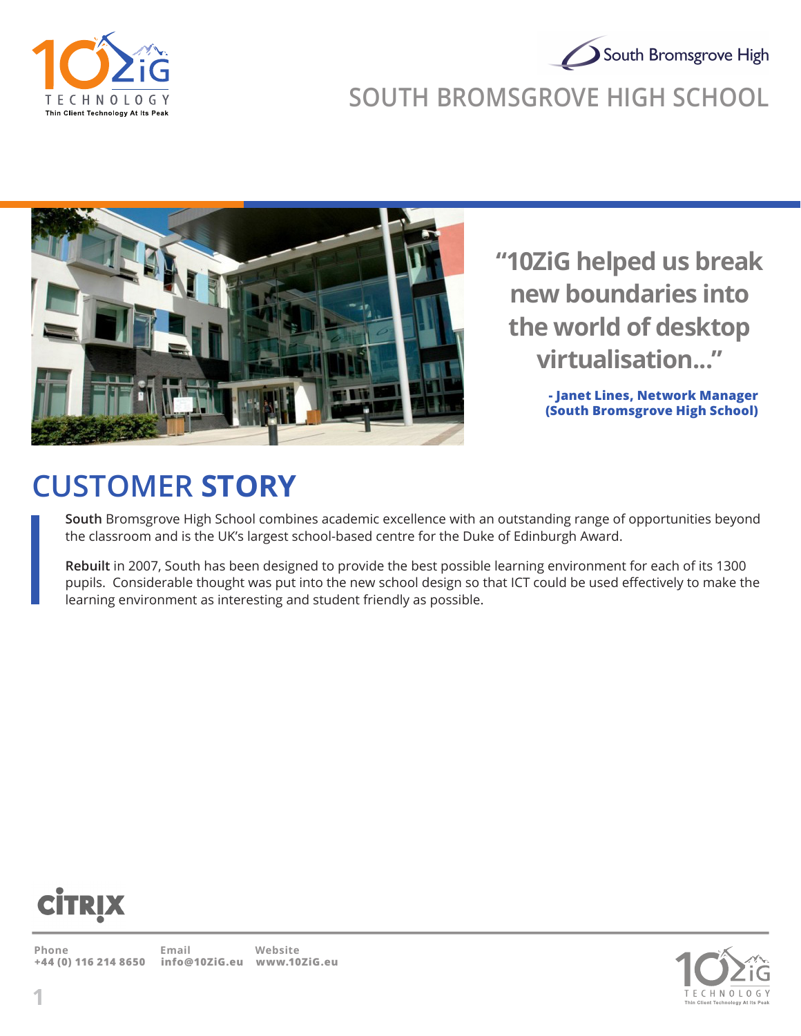

## South Bromsgrove High **SOUTH BROMSGROVE HIGH SCHOOL**



**"10ZiG helped us break new boundaries into the world of desktop virtualisation..."**

> **- Janet Lines, Network Manager (South Bromsgrove High School)**

# **CUSTOMER STORY**

**South** Bromsgrove High School combines academic excellence with an outstanding range of opportunities beyond the classroom and is the UK's largest school-based centre for the Duke of Edinburgh Award.

**Rebuilt** in 2007, South has been designed to provide the best possible learning environment for each of its 1300 pupils. Considerable thought was put into the new school design so that ICT could be used effectively to make the learning environment as interesting and student friendly as possible.



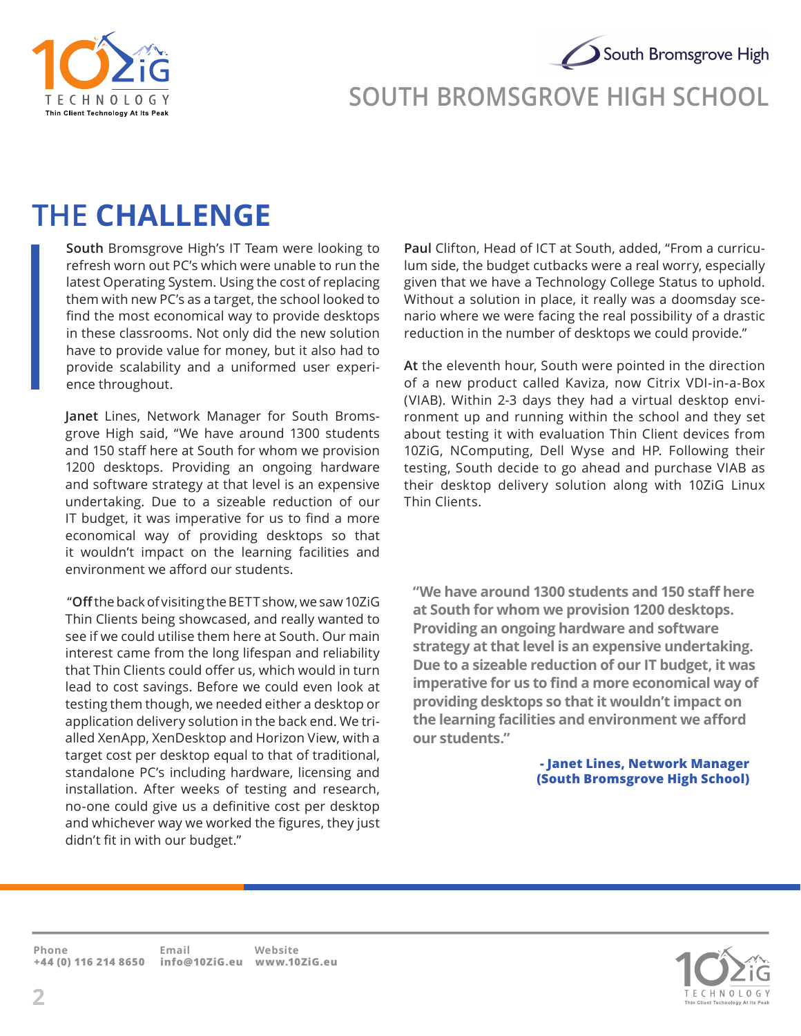



#### **SOUTH BROMSGROVE HIGH SCHOOL**

### **THE CHALLENGE**

**South** Bromsgrove High's IT Team were looking to refresh worn out PC's which were unable to run the latest Operating System. Using the cost of replacing them with new PC's as a target, the school looked to find the most economical way to provide desktops in these classrooms. Not only did the new solution have to provide value for money, but it also had to provide scalability and a uniformed user experience throughout.

**Janet** Lines, Network Manager for South Bromsgrove High said, "We have around 1300 students and 150 staff here at South for whom we provision 1200 desktops. Providing an ongoing hardware and software strategy at that level is an expensive undertaking. Due to a sizeable reduction of our IT budget, it was imperative for us to find a more economical way of providing desktops so that it wouldn't impact on the learning facilities and environment we afford our students.

 "**Off** the back of visiting the BETT show, we saw 10ZiG Thin Clients being showcased, and really wanted to see if we could utilise them here at South. Our main interest came from the long lifespan and reliability that Thin Clients could offer us, which would in turn lead to cost savings. Before we could even look at testing them though, we needed either a desktop or application delivery solution in the back end. We trialled XenApp, XenDesktop and Horizon View, with a target cost per desktop equal to that of traditional, standalone PC's including hardware, licensing and installation. After weeks of testing and research, no-one could give us a definitive cost per desktop and whichever way we worked the figures, they just didn't fit in with our budget."

**Paul** Clifton, Head of ICT at South, added, "From a curriculum side, the budget cutbacks were a real worry, especially given that we have a Technology College Status to uphold. Without a solution in place, it really was a doomsday scenario where we were facing the real possibility of a drastic reduction in the number of desktops we could provide."

**At** the eleventh hour, South were pointed in the direction of a new product called Kaviza, now Citrix VDI-in-a-Box (VIAB). Within 2-3 days they had a virtual desktop environment up and running within the school and they set about testing it with evaluation Thin Client devices from 10ZiG, NComputing, Dell Wyse and HP. Following their testing, South decide to go ahead and purchase VIAB as their desktop delivery solution along with 10ZiG Linux Thin Clients.

**"We have around 1300 students and 150 staff here at South for whom we provision 1200 desktops. Providing an ongoing hardware and software strategy at that level is an expensive undertaking. Due to a sizeable reduction of our IT budget, it was imperative for us to find a more economical way of providing desktops so that it wouldn't impact on the learning facilities and environment we afford our students."**

> **- Janet Lines, Network Manager (South Bromsgrove High School)**

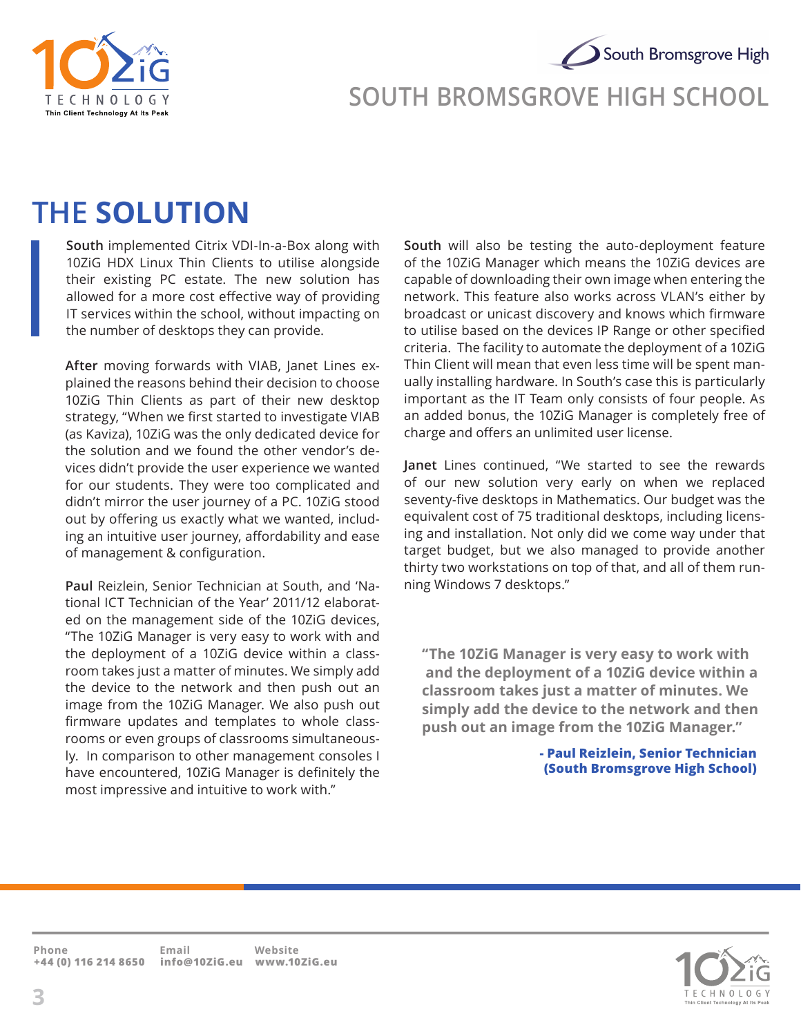



#### **SOUTH BROMSGROVE HIGH SCHOOL**

### **THE SOLUTION**

**South** implemented Citrix VDI-In-a-Box along with 10ZiG HDX Linux Thin Clients to utilise alongside their existing PC estate. The new solution has allowed for a more cost effective way of providing IT services within the school, without impacting on the number of desktops they can provide.

**After** moving forwards with VIAB, Janet Lines explained the reasons behind their decision to choose 10ZiG Thin Clients as part of their new desktop strategy, "When we first started to investigate VIAB (as Kaviza), 10ZiG was the only dedicated device for the solution and we found the other vendor's devices didn't provide the user experience we wanted for our students. They were too complicated and didn't mirror the user journey of a PC. 10ZiG stood out by offering us exactly what we wanted, including an intuitive user journey, affordability and ease of management & configuration.

**Paul** Reizlein, Senior Technician at South, and 'National ICT Technician of the Year' 2011/12 elaborated on the management side of the 10ZiG devices, "The 10ZiG Manager is very easy to work with and the deployment of a 10ZiG device within a classroom takes just a matter of minutes. We simply add the device to the network and then push out an image from the 10ZiG Manager. We also push out firmware updates and templates to whole classrooms or even groups of classrooms simultaneously. In comparison to other management consoles I have encountered, 10ZiG Manager is definitely the most impressive and intuitive to work with."

**South** will also be testing the auto-deployment feature of the 10ZiG Manager which means the 10ZiG devices are capable of downloading their own image when entering the network. This feature also works across VLAN's either by broadcast or unicast discovery and knows which firmware to utilise based on the devices IP Range or other specified criteria. The facility to automate the deployment of a 10ZiG Thin Client will mean that even less time will be spent manually installing hardware. In South's case this is particularly important as the IT Team only consists of four people. As an added bonus, the 10ZiG Manager is completely free of charge and offers an unlimited user license.

**Janet** Lines continued, "We started to see the rewards of our new solution very early on when we replaced seventy-five desktops in Mathematics. Our budget was the equivalent cost of 75 traditional desktops, including licensing and installation. Not only did we come way under that target budget, but we also managed to provide another thirty two workstations on top of that, and all of them running Windows 7 desktops."

**"The 10ZiG Manager is very easy to work with and the deployment of a 10ZiG device within a classroom takes just a matter of minutes. We simply add the device to the network and then push out an image from the 10ZiG Manager."**

> **- Paul Reizlein, Senior Technician (South Bromsgrove High School)**